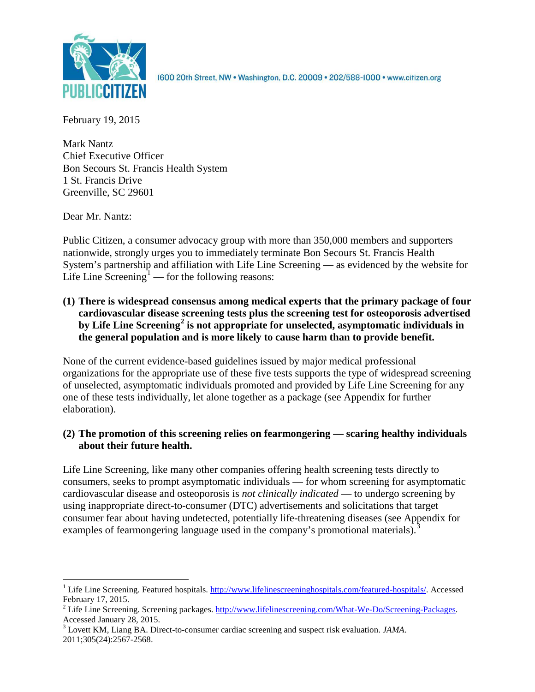

1600 20th Street, NW . Washington, D.C. 20009 . 202/588-1000 . www.citizen.org

February 19, 2015

Mark Nantz Chief Executive Officer Bon Secours St. Francis Health System 1 St. Francis Drive Greenville, SC 29601

Dear Mr. Nantz:

Public Citizen, a consumer advocacy group with more than 350,000 members and supporters nationwide, strongly urges you to immediately terminate Bon Secours St. Francis Health System's partnership and affiliation with Life Line Screening — as evidenced by the website for Life Line  $\text{Screening}^1$  $\text{Screening}^1$  — for the following reasons:

**(1) There is widespread consensus among medical experts that the primary package of four cardiovascular disease screening tests plus the screening test for osteoporosis advertised by Life Line Screening[2](#page-0-1) is not appropriate for unselected, asymptomatic individuals in the general population and is more likely to cause harm than to provide benefit.**

None of the current evidence-based guidelines issued by major medical professional organizations for the appropriate use of these five tests supports the type of widespread screening of unselected, asymptomatic individuals promoted and provided by Life Line Screening for any one of these tests individually, let alone together as a package (see Appendix for further elaboration).

## **(2) The promotion of this screening relies on fearmongering — scaring healthy individuals about their future health.**

Life Line Screening, like many other companies offering health screening tests directly to consumers, seeks to prompt asymptomatic individuals — for whom screening for asymptomatic cardiovascular disease and osteoporosis is *not clinically indicated* — to undergo screening by using inappropriate direct-to-consumer (DTC) advertisements and solicitations that target consumer fear about having undetected, potentially life-threatening diseases (see Appendix for examples of fearmongering language used in the company's promotional materials).<sup>[3](#page-0-2)</sup>

<span id="page-0-0"></span><sup>&</sup>lt;sup>1</sup> Life Line Screening. Featured hospitals. [http://www.lifelinescreeninghospitals.com/featured-hospitals/.](http://www.lifelinescreeninghospitals.com/featured-hospitals/) Accessed

<span id="page-0-1"></span>February 17, 2015.<br><sup>2</sup> Life Line Screening. Screening packages. [http://www.lifelinescreening.com/What-We-Do/Screening-Packages.](http://www.lifelinescreening.com/What-We-Do/Screening-Packages)<br>Accessed January 28, 2015.

<span id="page-0-2"></span><sup>&</sup>lt;sup>3</sup> Lovett KM, Liang BA. Direct-to-consumer cardiac screening and suspect risk evaluation. *JAMA*. 2011;305(24):2567-2568.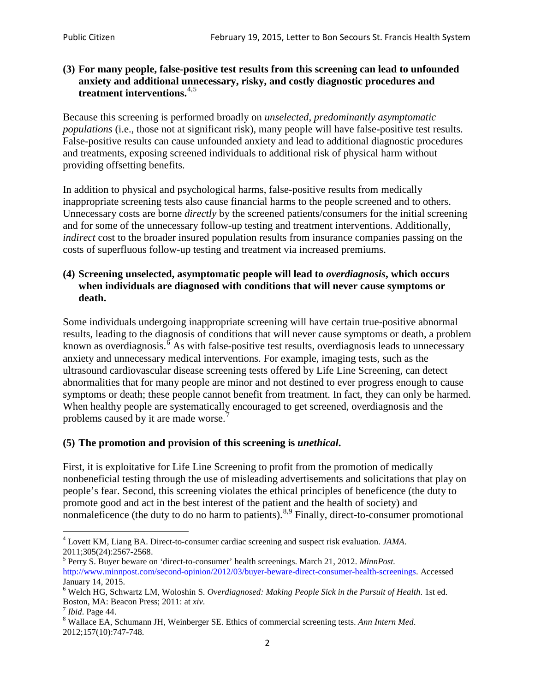#### **(3) For many people, false-positive test results from this screening can lead to unfounded anxiety and additional unnecessary, risky, and costly diagnostic procedures and treatment interventions.**[4](#page-1-0),[5](#page-1-1)

Because this screening is performed broadly on *unselected, predominantly asymptomatic populations* (i.e., those not at significant risk), many people will have false**-**positive test results. False-positive results can cause unfounded anxiety and lead to additional diagnostic procedures and treatments, exposing screened individuals to additional risk of physical harm without providing offsetting benefits.

In addition to physical and psychological harms, false-positive results from medically inappropriate screening tests also cause financial harms to the people screened and to others. Unnecessary costs are borne *directly* by the screened patients/consumers for the initial screening and for some of the unnecessary follow-up testing and treatment interventions. Additionally, *indirect* cost to the broader insured population results from insurance companies passing on the costs of superfluous follow-up testing and treatment via increased premiums.

#### **(4) Screening unselected, asymptomatic people will lead to** *overdiagnosis***, which occurs when individuals are diagnosed with conditions that will never cause symptoms or death.**

Some individuals undergoing inappropriate screening will have certain true-positive abnormal results, leading to the diagnosis of conditions that will never cause symptoms or death, a problem known as overdiagnosis.<sup>[6](#page-1-2)</sup> As with false-positive test results, overdiagnosis leads to unnecessary anxiety and unnecessary medical interventions. For example, imaging tests, such as the ultrasound cardiovascular disease screening tests offered by Life Line Screening, can detect abnormalities that for many people are minor and not destined to ever progress enough to cause symptoms or death; these people cannot benefit from treatment. In fact, they can only be harmed. When healthy people are systematically encouraged to get screened, overdiagnosis and the problems caused by it are made worse.<sup>[7](#page-1-3)</sup>

## **(5) The promotion and provision of this screening is** *unethical***.**

First, it is exploitative for Life Line Screening to profit from the promotion of medically nonbeneficial testing through the use of misleading advertisements and solicitations that play on people's fear. Second, this screening violates the ethical principles of beneficence (the duty to promote good and act in the best interest of the patient and the health of society) and nonmaleficence (the duty to do no harm to patients).<sup>[8](#page-1-4),[9](#page-1-5)</sup> Finally, direct-to-consumer promotional

<span id="page-1-4"></span>2012;157(10):747-748.

<span id="page-1-5"></span><span id="page-1-0"></span><sup>4</sup> Lovett KM, Liang BA. Direct-to-consumer cardiac screening and suspect risk evaluation. *JAMA*.

<span id="page-1-1"></span><sup>2011;305(24):2567-2568.</sup> <sup>5</sup> Perry S. Buyer beware on 'direct-to-consumer' health screenings. March 21, 2012. *MinnPost.*  [http://www.minnpost.com/second-opinion/2012/03/buyer-beware-direct-consumer-health-screenings.](http://www.minnpost.com/second-opinion/2012/03/buyer-beware-direct-consumer-health-screenings) Accessed January 14, 2015.

<span id="page-1-2"></span><sup>6</sup> Welch HG, Schwartz LM, Woloshin S. *Overdiagnosed: Making People Sick in the Pursuit of Health*. 1st ed. Boston, MA: Beacon Press; 2011: at *xiv*.<br><sup>7</sup> *Ibid*. Page 44.<br><sup>8</sup> Wallace EA, Schumann JH, Weinberger SE. Ethics of commercial screening tests. *Ann Intern Med*.

<span id="page-1-3"></span>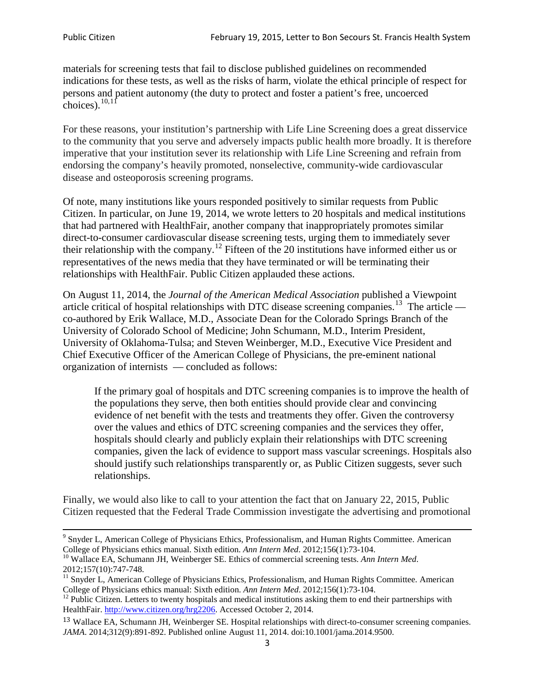materials for screening tests that fail to disclose published guidelines on recommended indications for these tests, as well as the risks of harm, violate the ethical principle of respect for persons and patient autonomy (the duty to protect and foster a patient's free, uncoerced choices). $10,11$  $10,11$ 

For these reasons, your institution's partnership with Life Line Screening does a great disservice to the community that you serve and adversely impacts public health more broadly. It is therefore imperative that your institution sever its relationship with Life Line Screening and refrain from endorsing the company's heavily promoted, nonselective, community**-**wide cardiovascular disease and osteoporosis screening programs.

Of note, many institutions like yours responded positively to similar requests from Public Citizen. In particular, on June 19, 2014, we wrote letters to 20 hospitals and medical institutions that had partnered with HealthFair, another company that inappropriately promotes similar direct-to-consumer cardiovascular disease screening tests, urging them to immediately sever their relationship with the company. [12](#page-2-2) Fifteen of the 20 institutions have informed either us or representatives of the news media that they have terminated or will be terminating their relationships with HealthFair. Public Citizen applauded these actions.

On August 11, 2014, the *Journal of the American Medical Association* published a Viewpoint article critical of hospital relationships with DTC disease screening companies.<sup>13</sup> The article co-authored by Erik Wallace, M.D., Associate Dean for the Colorado Springs Branch of the University of Colorado School of Medicine; John Schumann, M.D., Interim President, University of Oklahoma-Tulsa; and Steven Weinberger, M.D., Executive Vice President and Chief Executive Officer of the American College of Physicians, the pre**-**eminent national organization of internists — concluded as follows:

If the primary goal of hospitals and DTC screening companies is to improve the health of the populations they serve, then both entities should provide clear and convincing evidence of net benefit with the tests and treatments they offer. Given the controversy over the values and ethics of DTC screening companies and the services they offer, hospitals should clearly and publicly explain their relationships with DTC screening companies, given the lack of evidence to support mass vascular screenings. Hospitals also should justify such relationships transparently or, as Public Citizen suggests, sever such relationships.

Finally, we would also like to call to your attention the fact that on January 22, 2015, Public Citizen requested that the Federal Trade Commission investigate the advertising and promotional

<sup>&</sup>lt;sup>9</sup> Snyder L, American College of Physicians Ethics, Professionalism, and Human Rights Committee. American College of Physicians ethics manual. Sixth edition. Ann Intern Med. 2012;156(1):73-104.

<span id="page-2-0"></span><sup>&</sup>lt;sup>10</sup> Wallace EA, Schumann JH, Weinberger SE. Ethics of commercial screening tests. *Ann Intern Med*. 2012;157(10):747-748.

<span id="page-2-1"></span> $11$  Snyder L, American College of Physicians Ethics, Professionalism, and Human Rights Committee. American College of Physicians ethics manual: Sixth edition. *Ann Intern Med*. 2012;156(1):73-104.<br><sup>12</sup> Public Citizen. Letters to twenty hospitals and medical institutions asking them to end their partnerships with

<span id="page-2-2"></span>HealthFair. [http://www.citizen.org/hrg2206.](http://www.citizen.org/hrg2206) Accessed October 2, 2014.

<span id="page-2-3"></span><sup>13</sup> Wallace EA, Schumann JH, Weinberger SE. Hospital relationships with direct-to-consumer screening companies. *JAMA*. 2014;312(9):891-892. Published online August 11, 2014. doi:10.1001/jama.2014.9500.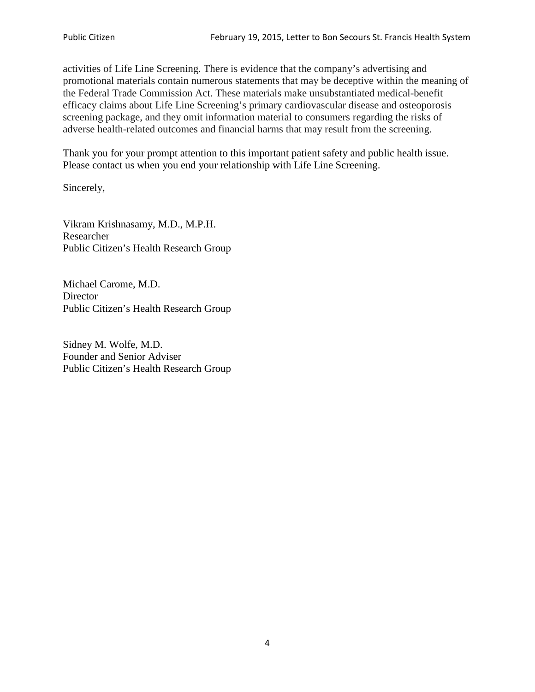activities of Life Line Screening. There is evidence that the company's advertising and promotional materials contain numerous statements that may be deceptive within the meaning of the Federal Trade Commission Act. These materials make unsubstantiated medical-benefit efficacy claims about Life Line Screening's primary cardiovascular disease and osteoporosis screening package, and they omit information material to consumers regarding the risks of adverse health-related outcomes and financial harms that may result from the screening.

Thank you for your prompt attention to this important patient safety and public health issue. Please contact us when you end your relationship with Life Line Screening.

Sincerely,

Vikram Krishnasamy, M.D., M.P.H. Researcher Public Citizen's Health Research Group

Michael Carome, M.D. **Director** Public Citizen's Health Research Group

Sidney M. Wolfe, M.D. Founder and Senior Adviser Public Citizen's Health Research Group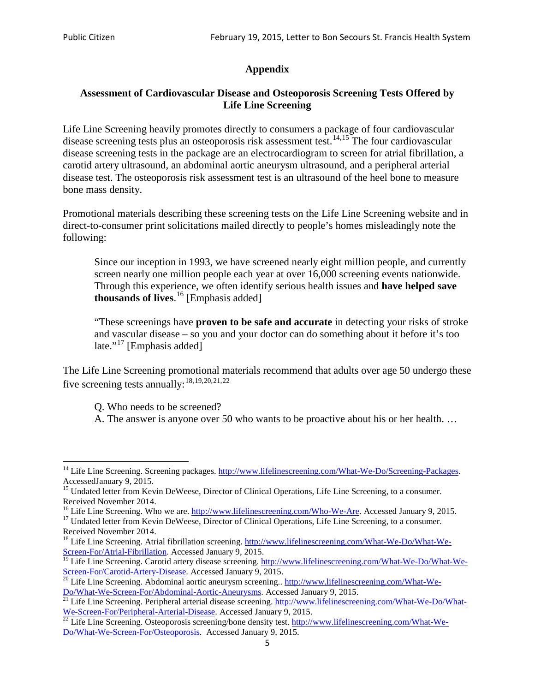# **Appendix**

## **Assessment of Cardiovascular Disease and Osteoporosis Screening Tests Offered by Life Line Screening**

Life Line Screening heavily promotes directly to consumers a package of four cardiovascular disease screening tests plus an osteoporosis risk assessment test.<sup>[14](#page-4-0),[15](#page-4-1)</sup> The four cardiovascular disease screening tests in the package are an electrocardiogram to screen for atrial fibrillation, a carotid artery ultrasound, an abdominal aortic aneurysm ultrasound, and a peripheral arterial disease test. The osteoporosis risk assessment test is an ultrasound of the heel bone to measure bone mass density.

Promotional materials describing these screening tests on the Life Line Screening website and in direct-to-consumer print solicitations mailed directly to people's homes misleadingly note the following:

Since our inception in 1993, we have screened nearly eight million people, and currently screen nearly one million people each year at over 16,000 screening events nationwide. Through this experience, we often identify serious health issues and **have helped save thousands of lives**. [16](#page-4-2) [Emphasis added]

"These screenings have **proven to be safe and accurate** in detecting your risks of stroke and vascular disease – so you and your doctor can do something about it before it's too late."<sup>[17](#page-4-3)</sup> [Emphasis added]

The Life Line Screening promotional materials recommend that adults over age 50 undergo these five screening tests annually:<sup>[18](#page-4-4),[19,](#page-4-5)[20,](#page-4-6)[21](#page-4-7),[22](#page-4-8)</sup>

Q. Who needs to be screened?

A. The answer is anyone over 50 who wants to be proactive about his or her health. …

Received November 2014.<br><sup>16</sup> Life Line Screening. Who we are. http://www.lifelinescreening.com/Who-We-Are. Accessed January 9, 2015.

<span id="page-4-3"></span><span id="page-4-2"></span><sup>17</sup> Undated letter from Kevin DeWeese, Director of Clinical Operations, Life Line Screening, to a consumer. Received November 2014.

<span id="page-4-0"></span><sup>&</sup>lt;sup>14</sup> Life Line Screening. Screening packages. [http://www.lifelinescreening.com/What-We-Do/Screening-Packages.](http://www.lifelinescreening.com/What-We-Do/Screening-Packages) AccessedJanuary 9, 2015.

<span id="page-4-1"></span><sup>&</sup>lt;sup>15</sup> Undated letter from Kevin DeWeese, Director of Clinical Operations, Life Line Screening, to a consumer.

<span id="page-4-4"></span><sup>&</sup>lt;sup>18</sup> Life Line Screening. Atrial fibrillation screening. [http://www.lifelinescreening.com/What-We-Do/What-We-](http://www.lifelinescreening.com/What-We-Do/What-We-Screen-For/Atrial-Fibrillation)[Screen-For/Atrial-Fibrillation.](http://www.lifelinescreening.com/What-We-Do/What-We-Screen-For/Atrial-Fibrillation) Accessed January 9, 2015.

<sup>&</sup>lt;sup>19</sup> Life Line Screening. Carotid artery disease screening. [http://www.lifelinescreening.com/What-We-Do/What-We-](http://www.lifelinescreening.com/What-We-Do/What-We-Screen-For/Carotid-Artery-Disease)

<span id="page-4-6"></span><span id="page-4-5"></span>[Screen-For/Carotid-Artery-Disease.](http://www.lifelinescreening.com/What-We-Do/What-We-Screen-For/Carotid-Artery-Disease) Accessed January 9, 2015.<br><sup>20</sup> Life Line Screening. Abdominal aortic aneurysm screening.. http://www.lifelinescreening.com/What-We-Do/What-We-Do/What-We-Screen-For/Abdominal-Aortic-Aneury

<span id="page-4-7"></span><sup>&</sup>lt;sup>21</sup> Life Line Screening. Peripheral arterial disease screening. [http://www.lifelinescreening.com/What-We-Do/What-](http://www.lifelinescreening.com/What-We-Do/What-We-Screen-For/Peripheral-Arterial-Disease)

<span id="page-4-8"></span>[We-Screen-For/Peripheral-Arterial-Disease.](http://www.lifelinescreening.com/What-We-Do/What-We-Screen-For/Peripheral-Arterial-Disease) Accessed January 9, 2015.<br><sup>22</sup> Life Line Screening. Osteoporosis screening/bone density test. [http://www.lifelinescreening.com/What-We-](http://www.lifelinescreening.com/What-We-Do/What-We-Screen-For/Osteoporosis)[Do/What-We-Screen-For/Osteoporosis.](http://www.lifelinescreening.com/What-We-Do/What-We-Screen-For/Osteoporosis) Accessed January 9, 2015.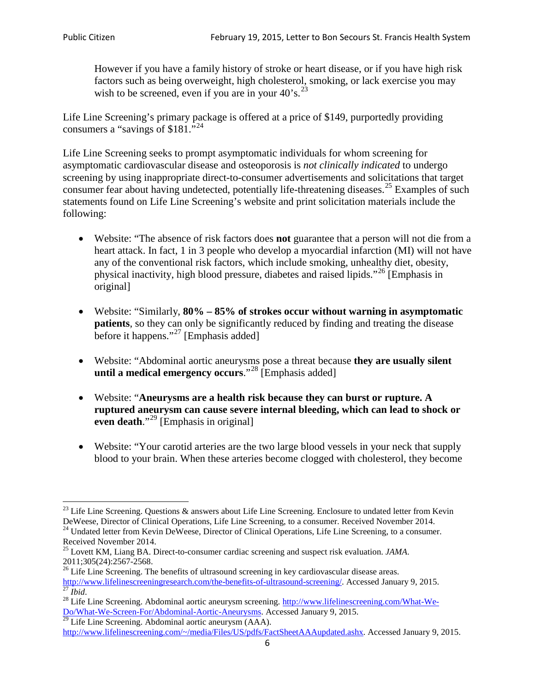However if you have a family history of stroke or heart disease, or if you have high risk factors such as being overweight, high cholesterol, smoking, or lack exercise you may wish to be screened, even if you are in your  $40^\circ$ s.<sup>[23](#page-5-0)</sup>

Life Line Screening's primary package is offered at a price of \$149, purportedly providing consumers a "savings of \$181."[24](#page-5-1)

Life Line Screening seeks to prompt asymptomatic individuals for whom screening for asymptomatic cardiovascular disease and osteoporosis is *not clinically indicated* to undergo screening by using inappropriate direct-to-consumer advertisements and solicitations that target consumer fear about having undetected, potentially life-threatening diseases.<sup>[25](#page-5-2)</sup> Examples of such statements found on Life Line Screening's website and print solicitation materials include the following:

- Website: "The absence of risk factors does **not** guarantee that a person will not die from a heart attack. In fact, 1 in 3 people who develop a myocardial infarction (MI) will not have any of the conventional risk factors, which include smoking, unhealthy diet, obesity, physical inactivity, high blood pressure, diabetes and raised lipids."[26](#page-5-3) [Emphasis in original]
- Website: "Similarly, **80% – 85% of strokes occur without warning in asymptomatic patients**, so they can only be significantly reduced by finding and treating the disease before it happens."<sup>[27](#page-5-4)</sup> [Emphasis added]
- Website: "Abdominal aortic aneurysms pose a threat because **they are usually silent until a medical emergency occurs**."[28](#page-5-5) [Emphasis added]
- Website: "**Aneurysms are a health risk because they can burst or rupture. A ruptured aneurysm can cause severe internal bleeding, which can lead to shock or even death.**"<sup>[29](#page-5-6)</sup> [Emphasis in original]
- Website: "Your carotid arteries are the two large blood vessels in your neck that supply blood to your brain. When these arteries become clogged with cholesterol, they become

<span id="page-5-0"></span><sup>&</sup>lt;sup>23</sup> Life Line Screening. Questions  $\&$  answers about Life Line Screening. Enclosure to undated letter from Kevin DeWeese, Director of Clinical Operations, Life Line Screening, to a consumer. Received November 2014. 24 Undated letter from Kevin DeWeese, Director of Clinical Operations, Life Line Screening, to a consumer.

<span id="page-5-1"></span>Received November 2014.

<span id="page-5-2"></span><sup>25</sup> Lovett KM, Liang BA. Direct-to-consumer cardiac screening and suspect risk evaluation. *JAMA*.  $2011;305(24):2567-2568$ .<br><sup>26</sup> Life Line Screening. The benefits of ultrasound screening in key cardiovascular disease areas.

<span id="page-5-3"></span>[http://www.lifelinescreeningresearch.com/the-benefits-of-ultrasound-screening/.](http://www.lifelinescreeningresearch.com/the-benefits-of-ultrasound-screening/) Accessed January 9, 2015.<br><sup>28</sup> Life Line Screening. Abdominal aortic aneurysm screening. http://www.lifelinescreening.com/What-We-<br><sup>28</sup> Life L

<span id="page-5-5"></span><span id="page-5-4"></span>[Do/What-We-Screen-For/Abdominal-Aortic-Aneurysms.](http://www.lifelinescreening.com/What-We-Do/What-We-Screen-For/Abdominal-Aortic-Aneurysms) Accessed January 9, 2015. <sup>29</sup> Life Line Screening. Abdominal aortic aneurysm (AAA).

<span id="page-5-6"></span>[http://www.lifelinescreening.com/~/media/Files/US/pdfs/FactSheetAAAupdated.ashx.](http://www.lifelinescreening.com/~/media/Files/US/pdfs/FactSheetAAAupdated.ashx) Accessed January 9, 2015.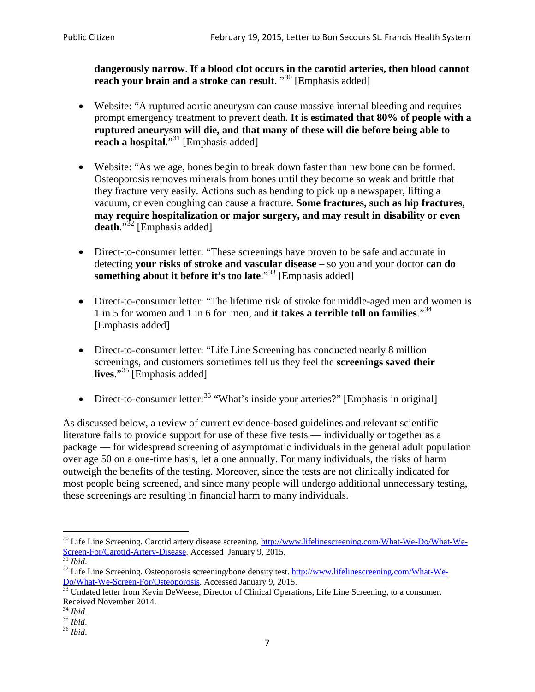**dangerously narrow**. **If a blood clot occurs in the carotid arteries, then blood cannot reach your brain and a stroke can result**. "<sup>[30](#page-6-0)</sup> [Emphasis added]

- Website: "A ruptured aortic aneurysm can cause massive internal bleeding and requires prompt emergency treatment to prevent death. **It is estimated that 80% of people with a ruptured aneurysm will die, and that many of these will die before being able to reach a hospital.**"<sup>[31](#page-6-1)</sup> [Emphasis added]
- Website: "As we age, bones begin to break down faster than new bone can be formed. Osteoporosis removes minerals from bones until they become so weak and brittle that they fracture very easily. Actions such as bending to pick up a newspaper, lifting a vacuum, or even coughing can cause a fracture. **Some fractures, such as hip fractures, may require hospitalization or major surgery, and may result in disability or even**  death."<sup>[32](#page-6-2)</sup> [Emphasis added]
- Direct-to-consumer letter: "These screenings have proven to be safe and accurate in detecting **your risks of stroke and vascular disease** – so you and your doctor **can do something about it before it's too late.**"<sup>[33](#page-6-3)</sup> [Emphasis added]
- Direct-to-consumer letter: "The lifetime risk of stroke for middle-aged men and women is 1 in 5 for women and 1 in 6 for men, and **it takes a terrible toll on families**."[34](#page-6-4) [Emphasis added]
- Direct-to-consumer letter: "Life Line Screening has conducted nearly 8 million screenings, and customers sometimes tell us they feel the **screenings saved their lives**."[35](#page-6-5) [Emphasis added]
- Direct-to-consumer letter:  $36$  "What's inside your arteries?" [Emphasis in original]

As discussed below, a review of current evidence-based guidelines and relevant scientific literature fails to provide support for use of these five tests — individually or together as a package — for widespread screening of asymptomatic individuals in the general adult population over age 50 on a one-time basis, let alone annually. For many individuals, the risks of harm outweigh the benefits of the testing. Moreover, since the tests are not clinically indicated for most people being screened, and since many people will undergo additional unnecessary testing, these screenings are resulting in financial harm to many individuals.

<span id="page-6-0"></span><sup>&</sup>lt;sup>30</sup> Life Line Screening. Carotid artery disease screening. [http://www.lifelinescreening.com/What-We-Do/What-We-](http://www.lifelinescreening.com/What-We-Do/What-We-Screen-For/Carotid-Artery-Disease)[Screen-For/Carotid-Artery-Disease.](http://www.lifelinescreening.com/What-We-Do/What-We-Screen-For/Carotid-Artery-Disease) Accessed January 9, 2015.<br><sup>31</sup> *Ibid.* 32 Life Line Screening. Osteoporosis screening/bone density test. [http://www.lifelinescreening.com/What-We-](http://www.lifelinescreening.com/What-We-Do/What-We-Screen-For/Osteoporosis)

<span id="page-6-2"></span><span id="page-6-1"></span>[Do/What-We-Screen-For/Osteoporosis.](http://www.lifelinescreening.com/What-We-Do/What-We-Screen-For/Osteoporosis) Accessed January 9, 2015. <sup>33</sup> Undated letter from Kevin DeWeese, Director of Clinical Operations, Life Line Screening, to a consumer.

<span id="page-6-3"></span>Received November 2014.<br><sup>34</sup> Ibid.

<span id="page-6-4"></span>

<span id="page-6-5"></span><sup>34</sup> *Ibid*. 35 *Ibid*. 36 *Ibid*.

<span id="page-6-6"></span>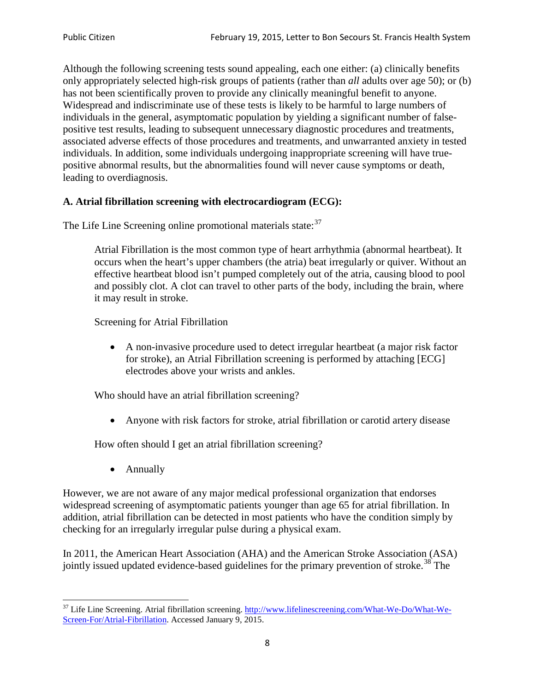Although the following screening tests sound appealing, each one either: (a) clinically benefits only appropriately selected high-risk groups of patients (rather than *all* adults over age 50); or (b) has not been scientifically proven to provide any clinically meaningful benefit to anyone. Widespread and indiscriminate use of these tests is likely to be harmful to large numbers of individuals in the general, asymptomatic population by yielding a significant number of falsepositive test results, leading to subsequent unnecessary diagnostic procedures and treatments, associated adverse effects of those procedures and treatments, and unwarranted anxiety in tested individuals. In addition, some individuals undergoing inappropriate screening will have truepositive abnormal results, but the abnormalities found will never cause symptoms or death, leading to overdiagnosis.

# **A. Atrial fibrillation screening with electrocardiogram (ECG):**

The Life Line Screening online promotional materials state:<sup>[37](#page-7-0)</sup>

Atrial Fibrillation is the most common type of heart arrhythmia (abnormal heartbeat). It occurs when the heart's upper chambers (the atria) beat irregularly or quiver. Without an effective heartbeat blood isn't pumped completely out of the atria, causing blood to pool and possibly clot. A clot can travel to other parts of the body, including the brain, where it may result in stroke.

Screening for Atrial Fibrillation

• A non-invasive procedure used to detect irregular heartbeat (a major risk factor for stroke), an Atrial Fibrillation screening is performed by attaching [ECG] electrodes above your wrists and ankles.

Who should have an atrial fibrillation screening?

• Anyone with risk factors for stroke, atrial fibrillation or carotid artery disease

How often should I get an atrial fibrillation screening?

• Annually

<span id="page-7-1"></span>However, we are not aware of any major medical professional organization that endorses widespread screening of asymptomatic patients younger than age 65 for atrial fibrillation. In addition, atrial fibrillation can be detected in most patients who have the condition simply by checking for an irregularly irregular pulse during a physical exam.

In 2011, the American Heart Association (AHA) and the American Stroke Association (ASA) jointly issued updated evidence-based guidelines for the primary prevention of stroke.<sup>[38](#page-7-1)</sup> The

<span id="page-7-0"></span><sup>&</sup>lt;sup>37</sup> Life Line Screening. Atrial fibrillation screening. [http://www.lifelinescreening.com/What-We-Do/What-We-](http://www.lifelinescreening.com/What-We-Do/What-We-Screen-For/Atrial-Fibrillation)[Screen-For/Atrial-Fibrillation.](http://www.lifelinescreening.com/What-We-Do/What-We-Screen-For/Atrial-Fibrillation) Accessed January 9, 2015.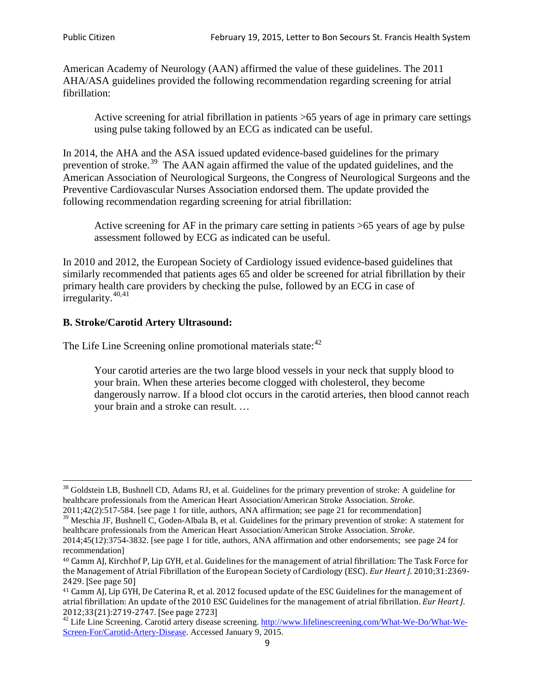American Academy of Neurology (AAN) affirmed the value of these guidelines. The 2011 AHA/ASA guidelines provided the following recommendation regarding screening for atrial fibrillation:

Active screening for atrial fibrillation in patients >65 years of age in primary care settings using pulse taking followed by an ECG as indicated can be useful.

In 2014, the AHA and the ASA issued updated evidence-based guidelines for the primary prevention of stroke.<sup>[39](#page-8-0)</sup> The AAN again affirmed the value of the updated guidelines, and the American Association of Neurological Surgeons, the Congress of Neurological Surgeons and the Preventive Cardiovascular Nurses Association endorsed them. The update provided the following recommendation regarding screening for atrial fibrillation:

Active screening for AF in the primary care setting in patients >65 years of age by pulse assessment followed by ECG as indicated can be useful.

In 2010 and 2012, the European Society of Cardiology issued evidence-based guidelines that similarly recommended that patients ages 65 and older be screened for atrial fibrillation by their primary health care providers by checking the pulse, followed by an ECG in case of irregularity. $40,41$  $40,41$ 

# **B. Stroke/Carotid Artery Ultrasound:**

The Life Line Screening online promotional materials state:<sup>[42](#page-8-3)</sup>

Your carotid arteries are the two large blood vessels in your neck that supply blood to your brain. When these arteries become clogged with cholesterol, they become dangerously narrow. If a blood clot occurs in the carotid arteries, then blood cannot reach your brain and a stroke can result. …

<sup>&</sup>lt;sup>38</sup> Goldstein LB, Bushnell CD, Adams RJ, et al. Guidelines for the primary prevention of stroke: A guideline for healthcare professionals from the American Heart Association/American Stroke Association. *Stroke*.

<sup>2011;42(2):517-584.</sup> [see page 1 for title, authors, ANA affirmation; see page 21 for recommendation]

<span id="page-8-0"></span> $\frac{2011,42(2)(317,601)}{39}$  Meschia JF, Bushnell C, Goden-Albala B, et al. Guidelines for the primary prevention of stroke: A statement for healthcare professionals from the American Heart Association/American Stroke Association. *Stroke*.

<sup>2014;45(12):3754-3832.</sup> [see page 1 for title, authors, ANA affirmation and other endorsements; see page 24 for recommendation]

<span id="page-8-1"></span><sup>40</sup> Camm AJ, Kirchhof P, Lip GYH, et al. Guidelines for the management of atrial fibrillation: The Task Force for the Management of Atrial Fibrillation of the European Society of Cardiology (ESC). *Eur Heart J*. 2010;31:2369- 2429. [See page 50]

<span id="page-8-2"></span><sup>41</sup> Camm AJ, Lip GYH, De Caterina R, et al. 2012 focused update of the ESC Guidelines for the management of atrial fibrillation: An update of the 2010 ESC Guidelines for the management of atrial fibrillation. *Eur Heart J*.

<span id="page-8-3"></span><sup>&</sup>lt;sup>2012</sup>;23(21):2719-2747. [See page 2733] 42 Life Line Screening. [http://www.lifelinescreening.com/What-We-Do/What-We-](http://www.lifelinescreening.com/What-We-Do/What-We-Screen-For/Carotid-Artery-Disease)[Screen-For/Carotid-Artery-Disease.](http://www.lifelinescreening.com/What-We-Do/What-We-Screen-For/Carotid-Artery-Disease) Accessed January 9, 2015.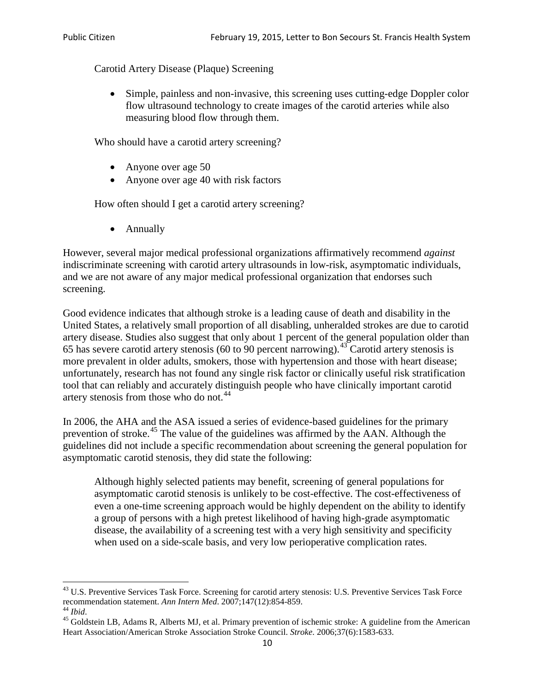Carotid Artery Disease (Plaque) Screening

• Simple, painless and non-invasive, this screening uses cutting-edge Doppler color flow ultrasound technology to create images of the carotid arteries while also measuring blood flow through them.

Who should have a carotid artery screening?

- Anyone over age 50
- Anyone over age 40 with risk factors

How often should I get a carotid artery screening?

• Annually

However, several major medical professional organizations affirmatively recommend *against* indiscriminate screening with carotid artery ultrasounds in low-risk, asymptomatic individuals, and we are not aware of any major medical professional organization that endorses such screening.

Good evidence indicates that although stroke is a leading cause of death and disability in the United States, a relatively small proportion of all disabling, unheralded strokes are due to carotid artery disease. Studies also suggest that only about 1 percent of the general population older than 65 has severe carotid artery stenosis (60 to 90 percent narrowing).<sup>[43](#page-9-0)</sup> Carotid artery stenosis is more prevalent in older adults, smokers, those with hypertension and those with heart disease; unfortunately, research has not found any single risk factor or clinically useful risk stratification tool that can reliably and accurately distinguish people who have clinically important carotid artery stenosis from those who do not.<sup>[44](#page-9-1)</sup>

In 2006, the AHA and the ASA issued a series of evidence-based guidelines for the primary prevention of stroke.<sup>[45](#page-9-2)</sup> The value of the guidelines was affirmed by the AAN. Although the guidelines did not include a specific recommendation about screening the general population for asymptomatic carotid stenosis, they did state the following:

Although highly selected patients may benefit, screening of general populations for asymptomatic carotid stenosis is unlikely to be cost-effective. The cost-effectiveness of even a one-time screening approach would be highly dependent on the ability to identify a group of persons with a high pretest likelihood of having high-grade asymptomatic disease, the availability of a screening test with a very high sensitivity and specificity when used on a side-scale basis, and very low perioperative complication rates.

<span id="page-9-0"></span> $^{43}$  U.S. Preventive Services Task Force. Screening for carotid artery stenosis: U.S. Preventive Services Task Force recommendation statement. Ann Intern Med. 2007;147(12):854-859.

<span id="page-9-2"></span>

<span id="page-9-1"></span><sup>&</sup>lt;sup>44</sup> *Ibid*. <sup>45</sup> Goldstein LB, Adams R, Alberts MJ, et al. Primary prevention of ischemic stroke: A guideline from the American <sup>45</sup> Goldstein LB, Adams R, Alberts MJ, et al. Primary prevention of ischemic stroke: A guide Heart Association/American Stroke Association Stroke Council. *Stroke*. 2006;37(6):1583-633.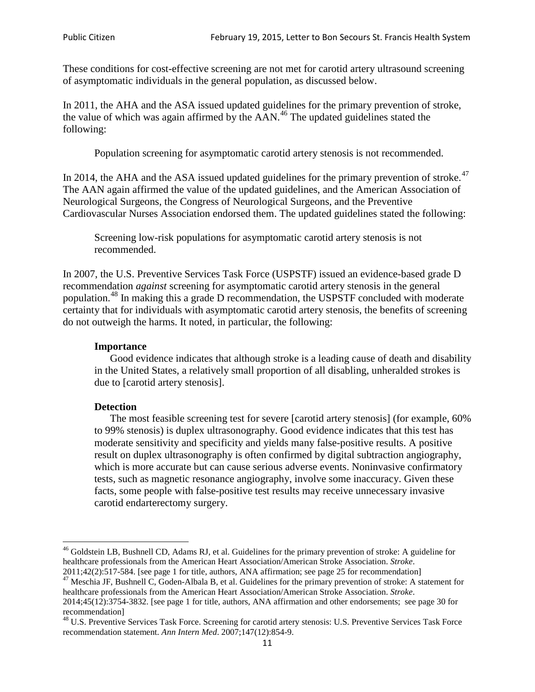These conditions for cost-effective screening are not met for carotid artery ultrasound screening of asymptomatic individuals in the general population, as discussed below.

In 2011, the AHA and the ASA issued updated guidelines for the primary prevention of stroke, the value of which was again affirmed by the  $AAN<sup>46</sup>$  $AAN<sup>46</sup>$  $AAN<sup>46</sup>$ . The updated guidelines stated the following:

Population screening for asymptomatic carotid artery stenosis is not recommended.

In 2014, the AHA and the ASA issued updated guidelines for the primary prevention of stroke.<sup>47</sup> The AAN again affirmed the value of the updated guidelines, and the American Association of Neurological Surgeons, the Congress of Neurological Surgeons, and the Preventive Cardiovascular Nurses Association endorsed them. The updated guidelines stated the following:

Screening low-risk populations for asymptomatic carotid artery stenosis is not recommended.

In 2007, the U.S. Preventive Services Task Force (USPSTF) issued an evidence-based grade D recommendation *against* screening for asymptomatic carotid artery stenosis in the general population.[48](#page-10-2) In making this a grade D recommendation, the USPSTF concluded with moderate certainty that for individuals with asymptomatic carotid artery stenosis, the benefits of screening do not outweigh the harms. It noted, in particular, the following:

#### **Importance**

Good evidence indicates that although stroke is a leading cause of death and disability in the United States, a relatively small proportion of all disabling, unheralded strokes is due to [carotid artery stenosis].

#### **Detection**

The most feasible screening test for severe [carotid artery stenosis] (for example, 60% to 99% stenosis) is duplex ultrasonography. Good evidence indicates that this test has moderate sensitivity and specificity and yields many false-positive results. A positive result on duplex ultrasonography is often confirmed by digital subtraction angiography, which is more accurate but can cause serious adverse events. Noninvasive confirmatory tests, such as magnetic resonance angiography, involve some inaccuracy. Given these facts, some people with false-positive test results may receive unnecessary invasive carotid endarterectomy surgery.

<span id="page-10-0"></span><sup>&</sup>lt;sup>46</sup> Goldstein LB, Bushnell CD, Adams RJ, et al. Guidelines for the primary prevention of stroke: A guideline for healthcare professionals from the American Heart Association/American Stroke Association. *Stroke*.<br>2011;42(2):517-584. [see page 1 for title, authors, ANA affirmation; see page 25 for recommendation]

<span id="page-10-1"></span><sup>&</sup>lt;sup>47</sup> Meschia JF, Bushnell C, Goden-Albala B, et al. Guidelines for the primary prevention of stroke: A statement for healthcare professionals from the American Heart Association/American Stroke Association. *Stroke*. 2014;45(12):3754-3832. [see page 1 for title, authors, ANA affirmation and other endorsements; see page 30 for

recommendation]

<span id="page-10-2"></span><sup>&</sup>lt;sup>48</sup> U.S. Preventive Services Task Force. Screening for carotid artery stenosis: U.S. Preventive Services Task Force recommendation statement. *Ann Intern Med*. 2007;147(12):854-9.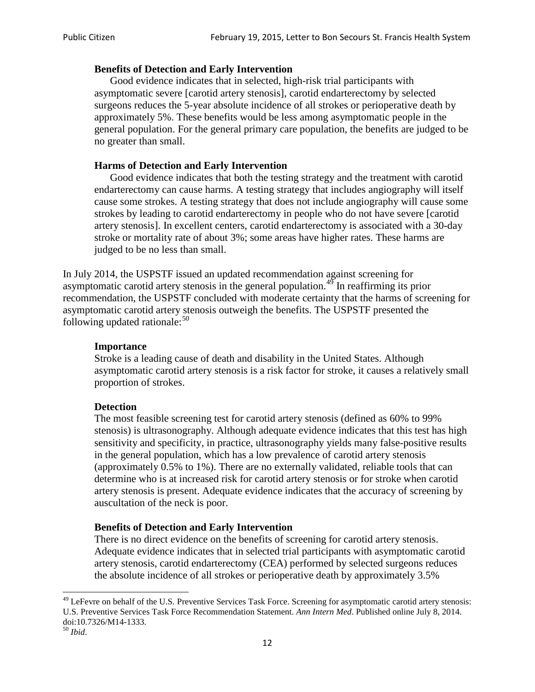#### **Benefits of Detection and Early Intervention**

Good evidence indicates that in selected, high-risk trial participants with asymptomatic severe [carotid artery stenosis], carotid endarterectomy by selected surgeons reduces the 5-year absolute incidence of all strokes or perioperative death by approximately 5%. These benefits would be less among asymptomatic people in the general population. For the general primary care population, the benefits are judged to be no greater than small.

### **Harms of Detection and Early Intervention**

Good evidence indicates that both the testing strategy and the treatment with carotid endarterectomy can cause harms. A testing strategy that includes angiography will itself cause some strokes. A testing strategy that does not include angiography will cause some strokes by leading to carotid endarterectomy in people who do not have severe [carotid artery stenosis]. In excellent centers, carotid endarterectomy is associated with a 30-day stroke or mortality rate of about 3%; some areas have higher rates. These harms are judged to be no less than small.

In July 2014, the USPSTF issued an updated recommendation against screening for asymptomatic carotid artery stenosis in the general population.<sup>[49](#page-11-0)</sup> In reaffirming its prior recommendation, the USPSTF concluded with moderate certainty that the harms of screening for asymptomatic carotid artery stenosis outweigh the benefits. The USPSTF presented the following updated rationale: $50$ 

#### **Importance**

Stroke is a leading cause of death and disability in the United States. Although asymptomatic carotid artery stenosis is a risk factor for stroke, it causes a relatively small proportion of strokes.

#### **Detection**

The most feasible screening test for carotid artery stenosis (defined as 60% to 99% stenosis) is ultrasonography. Although adequate evidence indicates that this test has high sensitivity and specificity, in practice, ultrasonography yields many false-positive results in the general population, which has a low prevalence of carotid artery stenosis (approximately 0.5% to 1%). There are no externally validated, reliable tools that can determine who is at increased risk for carotid artery stenosis or for stroke when carotid artery stenosis is present. Adequate evidence indicates that the accuracy of screening by auscultation of the neck is poor.

## **Benefits of Detection and Early Intervention**

There is no direct evidence on the benefits of screening for carotid artery stenosis. Adequate evidence indicates that in selected trial participants with asymptomatic carotid artery stenosis, carotid endarterectomy (CEA) performed by selected surgeons reduces the absolute incidence of all strokes or perioperative death by approximately 3.5%

<span id="page-11-0"></span><sup>&</sup>lt;sup>49</sup> LeFevre on behalf of the U.S. Preventive Services Task Force. Screening for asymptomatic carotid artery stenosis: U.S. Preventive Services Task Force Recommendation Statement. *Ann Intern Med*. Published online July 8, 2014. doi:10.7326/M14-1333. <sup>50</sup> *Ibid*.

<span id="page-11-1"></span>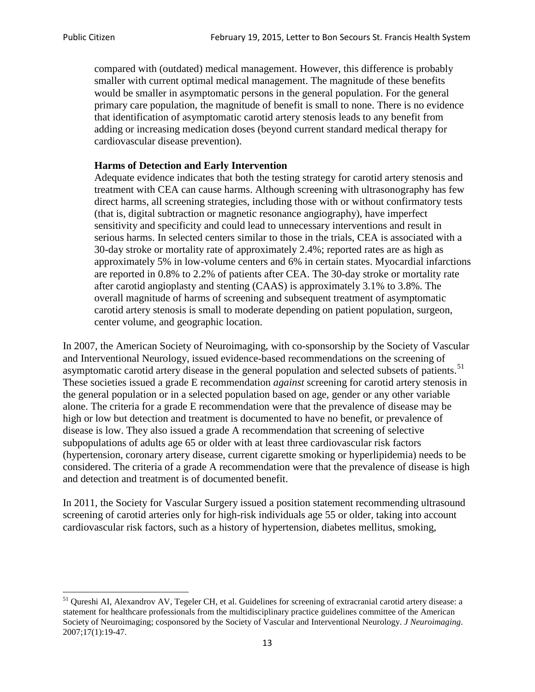compared with (outdated) medical management. However, this difference is probably smaller with current optimal medical management. The magnitude of these benefits would be smaller in asymptomatic persons in the general population. For the general primary care population, the magnitude of benefit is small to none. There is no evidence that identification of asymptomatic carotid artery stenosis leads to any benefit from adding or increasing medication doses (beyond current standard medical therapy for cardiovascular disease prevention).

#### **Harms of Detection and Early Intervention**

Adequate evidence indicates that both the testing strategy for carotid artery stenosis and treatment with CEA can cause harms. Although screening with ultrasonography has few direct harms, all screening strategies, including those with or without confirmatory tests (that is, digital subtraction or magnetic resonance angiography), have imperfect sensitivity and specificity and could lead to unnecessary interventions and result in serious harms. In selected centers similar to those in the trials, CEA is associated with a 30-day stroke or mortality rate of approximately 2.4%; reported rates are as high as approximately 5% in low-volume centers and 6% in certain states. Myocardial infarctions are reported in 0.8% to 2.2% of patients after CEA. The 30-day stroke or mortality rate after carotid angioplasty and stenting (CAAS) is approximately 3.1% to 3.8%. The overall magnitude of harms of screening and subsequent treatment of asymptomatic carotid artery stenosis is small to moderate depending on patient population, surgeon, center volume, and geographic location.

In 2007, the American Society of Neuroimaging, with co-sponsorship by the Society of Vascular and Interventional Neurology, issued evidence-based recommendations on the screening of asymptomatic carotid artery disease in the general population and selected subsets of patients.<sup>[51](#page-12-0)</sup> These societies issued a grade E recommendation *against* screening for carotid artery stenosis in the general population or in a selected population based on age, gender or any other variable alone. The criteria for a grade E recommendation were that the prevalence of disease may be high or low but detection and treatment is documented to have no benefit, or prevalence of disease is low. They also issued a grade A recommendation that screening of selective subpopulations of adults age 65 or older with at least three cardiovascular risk factors (hypertension, coronary artery disease, current cigarette smoking or hyperlipidemia) needs to be considered. The criteria of a grade A recommendation were that the prevalence of disease is high and detection and treatment is of documented benefit.

In 2011, the Society for Vascular Surgery issued a position statement recommending ultrasound screening of carotid arteries only for high-risk individuals age 55 or older, taking into account cardiovascular risk factors, such as a history of hypertension, diabetes mellitus, smoking,

<span id="page-12-0"></span><sup>&</sup>lt;sup>51</sup> Qureshi AI, Alexandrov AV, Tegeler CH, et al. Guidelines for screening of extracranial carotid artery disease: a statement for healthcare professionals from the multidisciplinary practice guidelines committee of the American Society of Neuroimaging; cosponsored by the Society of Vascular and Interventional Neurology. *J Neuroimaging*. 2007;17(1):19-47.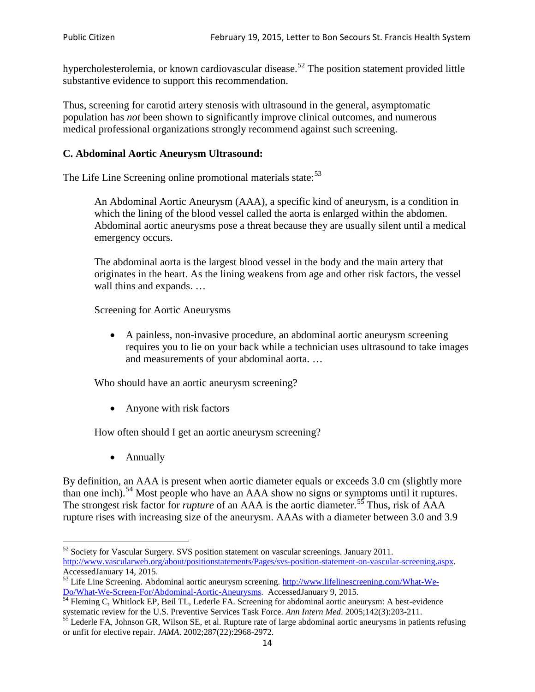hypercholesterolemia, or known cardiovascular disease.<sup>[52](#page-13-0)</sup> The position statement provided little substantive evidence to support this recommendation.

Thus, screening for carotid artery stenosis with ultrasound in the general, asymptomatic population has *not* been shown to significantly improve clinical outcomes, and numerous medical professional organizations strongly recommend against such screening.

## **C. Abdominal Aortic Aneurysm Ultrasound:**

The Life Line Screening online promotional materials state:<sup>[53](#page-13-1)</sup>

An Abdominal Aortic Aneurysm (AAA), a specific kind of aneurysm, is a condition in which the lining of the blood vessel called the aorta is enlarged within the abdomen. Abdominal aortic aneurysms pose a threat because they are usually silent until a medical emergency occurs.

The abdominal aorta is the largest blood vessel in the body and the main artery that originates in the heart. As the lining weakens from age and other risk factors, the vessel wall thins and expands. …

Screening for Aortic Aneurysms

• A painless, non-invasive procedure, an abdominal aortic aneurysm screening requires you to lie on your back while a technician uses ultrasound to take images and measurements of your abdominal aorta. …

Who should have an aortic aneurysm screening?

• Anyone with risk factors

How often should I get an aortic aneurysm screening?

• Annually

By definition, an AAA is present when aortic diameter equals or exceeds 3.0 cm (slightly more than one inch).<sup>[54](#page-13-2)</sup> Most people who have an AAA show no signs or symptoms until it ruptures. The strongest risk factor for *rupture* of an AAA is the aortic diameter.<sup>[55](#page-13-3)</sup> Thus, risk of AAA rupture rises with increasing size of the aneurysm. AAAs with a diameter between 3.0 and 3.9

<span id="page-13-0"></span><sup>&</sup>lt;sup>52</sup> Society for Vascular Surgery. SVS position statement on vascular screenings. January 2011. http://www.vascularweb.org/about/positionstatements/Pages/svs-position-statement-on-vascular-screening.aspx.<br>Accessed January 14, 2015.

<span id="page-13-1"></span>Accessed Line Screening. Abdominal aortic aneurysm screening. http://www.lifelinescreening.com/What-We-<br>Do/What-We-Screen-For/Abdominal-Aortic-Aneurysms. Accessed January 9, 2015.

<span id="page-13-2"></span> $\frac{54}{9}$  Fleming C, Whitlock EP, Beil TL, Lederle FA. Screening for abdominal aortic aneurysm: A best-evidence systematic review for the U.S. Preventive Services Task Force. *Ann Intern Med.* 2005;142(3):203-211.<br><sup>55</sup> Lederle FA, Johnson GR, Wilson SE, et al. Rupture rate of large abdominal aortic aneurysms in patients refusing

<span id="page-13-3"></span>or unfit for elective repair. *JAMA*. 2002;287(22):2968-2972.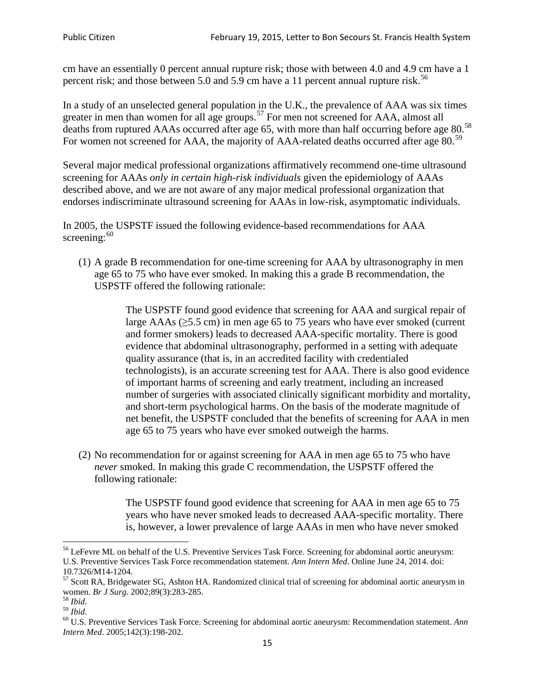cm have an essentially 0 percent annual rupture risk; those with between 4.0 and 4.9 cm have a 1 percent risk; and those between 5.0 and 5.9 cm have a 11 percent annual rupture risk.<sup>[56](#page-14-0)</sup>

In a study of an unselected general population in the U.K., the prevalence of AAA was six times greater in men than women for all age groups.<sup>[57](#page-14-1)</sup> For men not screened for  $AAA$ , almost all deaths from ruptured AAAs occurred after age 65, with more than half occurring before age 80.<sup>[58](#page-14-2)</sup> For women not screened for AAA, the majority of AAA-related deaths occurred after age 80.<sup>[59](#page-14-3)</sup>

Several major medical professional organizations affirmatively recommend one-time ultrasound screening for AAAs *only in certain high-risk individuals* given the epidemiology of AAAs described above, and we are not aware of any major medical professional organization that endorses indiscriminate ultrasound screening for AAAs in low-risk, asymptomatic individuals.

In 2005, the USPSTF issued the following evidence-based recommendations for AAA screening:  $60$ 

(1) A grade B recommendation for one-time screening for AAA by ultrasonography in men age 65 to 75 who have ever smoked. In making this a grade [B recommendation,](http://www.uspreventiveservicestaskforce.org/uspstf/gradespre.htm#brec) the USPSTF offered the following rationale:

> The USPSTF found good evidence that screening for AAA and surgical repair of large AAAs ( $\geq$ 5.5 cm) in men age 65 to 75 years who have ever smoked (current and former smokers) leads to decreased AAA-specific mortality. There is good evidence that abdominal ultrasonography, performed in a setting with adequate quality assurance (that is, in an accredited facility with credentialed technologists), is an accurate screening test for AAA. There is also good evidence of important harms of screening and early treatment, including an increased number of surgeries with associated clinically significant morbidity and mortality, and short-term psychological harms. On the basis of the moderate magnitude of net benefit, the USPSTF concluded that the benefits of screening for AAA in men age 65 to 75 years who have ever smoked outweigh the harms.

(2) No recommendation for or against screening for AAA in men age 65 to 75 who have *never* smoked. In making this grade C recommendation, the USPSTF offered the following rationale:

> The USPSTF found good evidence that screening for AAA in men age 65 to 75 years who have never smoked leads to decreased AAA-specific mortality. There is, however, a lower prevalence of large AAAs in men who have never smoked

<span id="page-14-0"></span><sup>&</sup>lt;sup>56</sup> LeFevre ML on behalf of the U.S. Preventive Services Task Force. Screening for abdominal aortic aneurysm: U.S. Preventive Services Task Force recommendation statement. *Ann Intern Med*. Online June 24, 2014. doi:

<span id="page-14-1"></span><sup>10.7326/</sup>M14-1204.<br> $57$  Scott RA, Bridgewater SG, Ashton HA. Randomized clinical trial of screening for abdominal aortic aneurysm in women. *Br J Surg.* 2002;89(3):283-285.

<span id="page-14-4"></span><span id="page-14-3"></span>

<span id="page-14-2"></span><sup>&</sup>lt;sup>58</sup> *Ibid.*<br><sup>59</sup> *Ibid. Comen. Breeft Bervices Task Force. Screening for abdominal aortic aneurysm: Recommendation statement. <i>Ann* <sup>60</sup> U.S. Preventive Services Task Force. Screening for abdominal aortic aneurysm: Re *Intern Med*. 2005;142(3):198-202.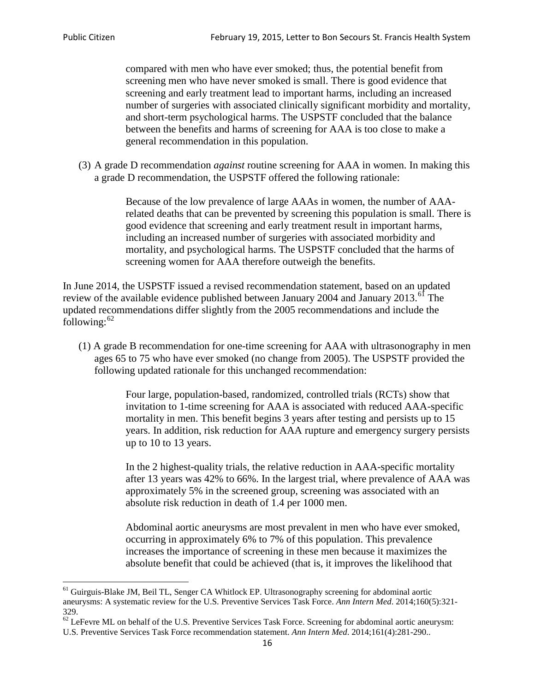compared with men who have ever smoked; thus, the potential benefit from screening men who have never smoked is small. There is good evidence that screening and early treatment lead to important harms, including an increased number of surgeries with associated clinically significant morbidity and mortality, and short-term psychological harms. The USPSTF concluded that the balance between the benefits and harms of screening for AAA is too close to make a general recommendation in this population.

(3) A grade D recommendation *against* routine screening for AAA in women. In making this a grade D recommendation, the USPSTF offered the following rationale:

> Because of the low prevalence of large AAAs in women, the number of AAArelated deaths that can be prevented by screening this population is small. There is good evidence that screening and early treatment result in important harms, including an increased number of surgeries with associated morbidity and mortality, and psychological harms. The USPSTF concluded that the harms of screening women for AAA therefore outweigh the benefits.

In June 2014, the USPSTF issued a revised recommendation statement, based on an updated review of the available evidence published between January 2004 and January 2013.<sup>[61](#page-15-0)</sup> The updated recommendations differ slightly from the 2005 recommendations and include the following: $62$ 

(1) A grade B recommendation for one-time screening for AAA with ultrasonography in men ages 65 to 75 who have ever smoked (no change from 2005). The USPSTF provided the following updated rationale for this unchanged recommendation:

> Four large, population-based, randomized, controlled trials (RCTs) show that invitation to 1-time screening for AAA is associated with reduced AAA-specific mortality in men. This benefit begins 3 years after testing and persists up to 15 years. In addition, risk reduction for AAA rupture and emergency surgery persists up to 10 to 13 years.

> In the 2 highest-quality trials, the relative reduction in AAA-specific mortality after 13 years was 42% to 66%. In the largest trial, where prevalence of AAA was approximately 5% in the screened group, screening was associated with an absolute risk reduction in death of 1.4 per 1000 men.

Abdominal aortic aneurysms are most prevalent in men who have ever smoked, occurring in approximately 6% to 7% of this population. This prevalence increases the importance of screening in these men because it maximizes the absolute benefit that could be achieved (that is, it improves the likelihood that

<span id="page-15-0"></span><sup>61</sup> Guirguis-Blake JM, Beil TL, Senger CA Whitlock EP. Ultrasonography screening for abdominal aortic aneurysms: A systematic review for the U.S. Preventive Services Task Force. *Ann Intern Med*. 2014;160(5):321- 329.

<span id="page-15-1"></span> $62$  LeFevre ML on behalf of the U.S. Preventive Services Task Force. Screening for abdominal aortic aneurysm: U.S. Preventive Services Task Force recommendation statement. *Ann Intern Med*. 2014;161(4):281-290..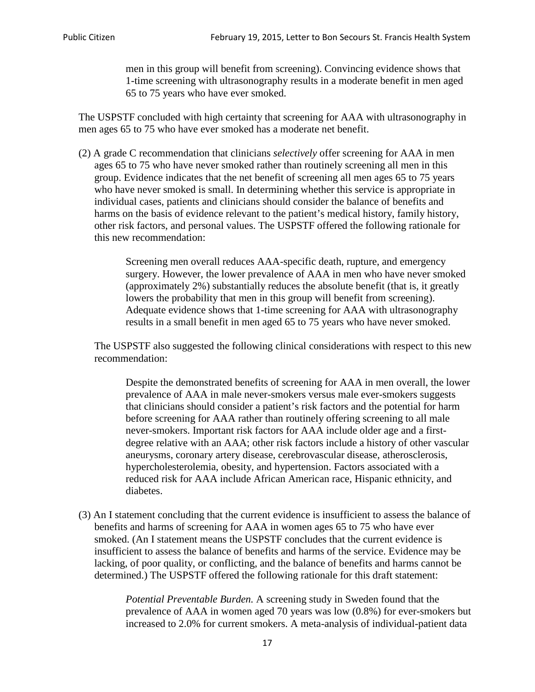men in this group will benefit from screening). Convincing evidence shows that 1-time screening with ultrasonography results in a moderate benefit in men aged 65 to 75 years who have ever smoked.

The USPSTF concluded with high certainty that screening for AAA with ultrasonography in men ages 65 to 75 who have ever smoked has a moderate net benefit.

(2) A grade C recommendation that clinicians *selectively* offer screening for AAA in men ages 65 to 75 who have never smoked rather than routinely screening all men in this group. Evidence indicates that the net benefit of screening all men ages 65 to 75 years who have never smoked is small. In determining whether this service is appropriate in individual cases, patients and clinicians should consider the balance of benefits and harms on the basis of evidence relevant to the patient's medical history, family history, other risk factors, and personal values. The USPSTF offered the following rationale for this new recommendation:

> Screening men overall reduces AAA-specific death, rupture, and emergency surgery. However, the lower prevalence of AAA in men who have never smoked (approximately 2%) substantially reduces the absolute benefit (that is, it greatly lowers the probability that men in this group will benefit from screening). Adequate evidence shows that 1-time screening for AAA with ultrasonography results in a small benefit in men aged 65 to 75 years who have never smoked.

The USPSTF also suggested the following clinical considerations with respect to this new recommendation:

Despite the demonstrated benefits of screening for AAA in men overall, the lower prevalence of AAA in male never-smokers versus male ever-smokers suggests that clinicians should consider a patient's risk factors and the potential for harm before screening for AAA rather than routinely offering screening to all male never-smokers. Important risk factors for AAA include older age and a firstdegree relative with an AAA; other risk factors include a history of other vascular aneurysms, coronary artery disease, cerebrovascular disease, atherosclerosis, hypercholesterolemia, obesity, and hypertension. Factors associated with a reduced risk for AAA include African American race, Hispanic ethnicity, and diabetes.

(3) An I statement concluding that the current evidence is insufficient to assess the balance of benefits and harms of screening for AAA in women ages 65 to 75 who have ever smoked. (An I statement means the USPSTF concludes that the current evidence is insufficient to assess the balance of benefits and harms of the service. Evidence may be lacking, of poor quality, or conflicting, and the balance of benefits and harms cannot be determined.) The USPSTF offered the following rationale for this draft statement:

> *Potential Preventable Burden.* A screening study in Sweden found that the prevalence of AAA in women aged 70 years was low (0.8%) for ever-smokers but increased to 2.0% for current smokers. A meta-analysis of individual-patient data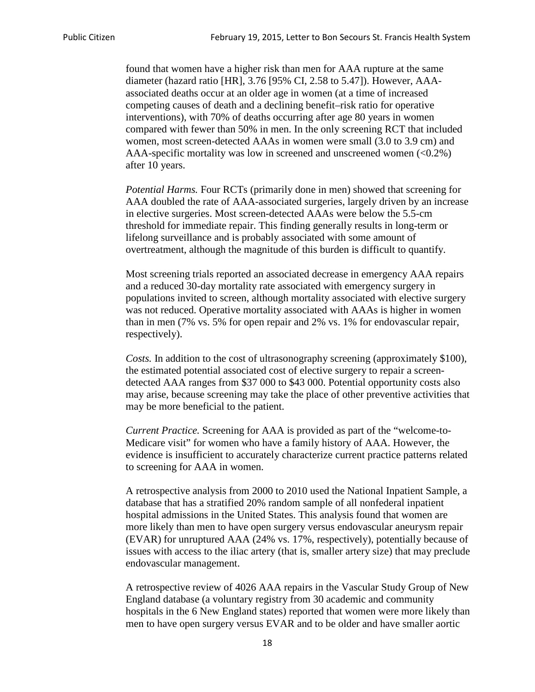found that women have a higher risk than men for AAA rupture at the same diameter (hazard ratio [HR], 3.76 [95% CI, 2.58 to 5.47]). However, AAAassociated deaths occur at an older age in women (at a time of increased competing causes of death and a declining benefit–risk ratio for operative interventions), with 70% of deaths occurring after age 80 years in women compared with fewer than 50% in men. In the only screening RCT that included women, most screen-detected AAAs in women were small (3.0 to 3.9 cm) and AAA-specific mortality was low in screened and unscreened women (<0.2%) after 10 years.

*Potential Harms.* Four RCTs (primarily done in men) showed that screening for AAA doubled the rate of AAA-associated surgeries, largely driven by an increase in elective surgeries. Most screen-detected AAAs were below the 5.5-cm threshold for immediate repair. This finding generally results in long-term or lifelong surveillance and is probably associated with some amount of overtreatment, although the magnitude of this burden is difficult to quantify.

Most screening trials reported an associated decrease in emergency AAA repairs and a reduced 30-day mortality rate associated with emergency surgery in populations invited to screen, although mortality associated with elective surgery was not reduced. Operative mortality associated with AAAs is higher in women than in men (7% vs. 5% for open repair and 2% vs. 1% for endovascular repair, respectively).

*Costs.* In addition to the cost of ultrasonography screening (approximately \$100), the estimated potential associated cost of elective surgery to repair a screendetected AAA ranges from \$37 000 to \$43 000. Potential opportunity costs also may arise, because screening may take the place of other preventive activities that may be more beneficial to the patient.

*Current Practice.* Screening for AAA is provided as part of the "welcome-to-Medicare visit" for women who have a family history of AAA. However, the evidence is insufficient to accurately characterize current practice patterns related to screening for AAA in women.

A retrospective analysis from 2000 to 2010 used the National Inpatient Sample, a database that has a stratified 20% random sample of all nonfederal inpatient hospital admissions in the United States. This analysis found that women are more likely than men to have open surgery versus endovascular aneurysm repair (EVAR) for unruptured AAA (24% vs. 17%, respectively), potentially because of issues with access to the iliac artery (that is, smaller artery size) that may preclude endovascular management.

A retrospective review of 4026 AAA repairs in the Vascular Study Group of New England database (a voluntary registry from 30 academic and community hospitals in the 6 New England states) reported that women were more likely than men to have open surgery versus EVAR and to be older and have smaller aortic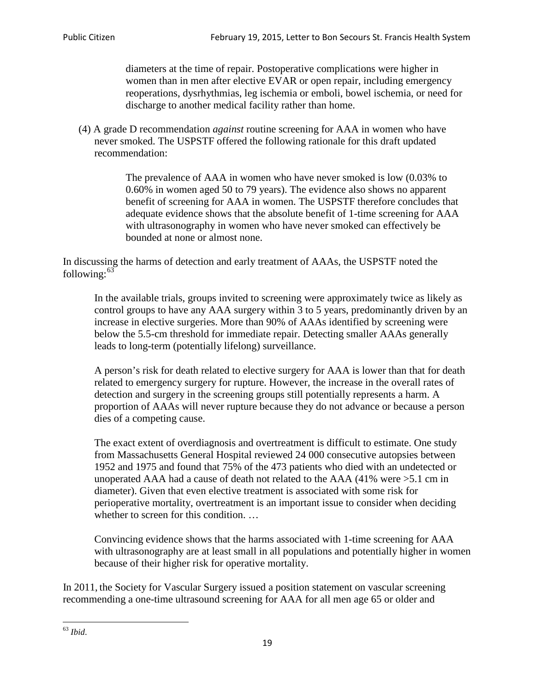diameters at the time of repair. Postoperative complications were higher in women than in men after elective EVAR or open repair, including emergency reoperations, dysrhythmias, leg ischemia or emboli, bowel ischemia, or need for discharge to another medical facility rather than home.

(4) A grade D recommendation *against* routine screening for AAA in women who have never smoked. The USPSTF offered the following rationale for this draft updated recommendation:

> The prevalence of AAA in women who have never smoked is low (0.03% to 0.60% in women aged 50 to 79 years). The evidence also shows no apparent benefit of screening for AAA in women. The USPSTF therefore concludes that adequate evidence shows that the absolute benefit of 1-time screening for AAA with ultrasonography in women who have never smoked can effectively be bounded at none or almost none.

In discussing the harms of detection and early treatment of AAAs, the USPSTF noted the following: $63$ 

In the available trials, groups invited to screening were approximately twice as likely as control groups to have any AAA surgery within 3 to 5 years, predominantly driven by an increase in elective surgeries. More than 90% of AAAs identified by screening were below the 5.5-cm threshold for immediate repair. Detecting smaller AAAs generally leads to long-term (potentially lifelong) surveillance.

A person's risk for death related to elective surgery for AAA is lower than that for death related to emergency surgery for rupture. However, the increase in the overall rates of detection and surgery in the screening groups still potentially represents a harm. A proportion of AAAs will never rupture because they do not advance or because a person dies of a competing cause.

The exact extent of overdiagnosis and overtreatment is difficult to estimate. One study from Massachusetts General Hospital reviewed 24 000 consecutive autopsies between 1952 and 1975 and found that 75% of the 473 patients who died with an undetected or unoperated AAA had a cause of death not related to the AAA (41% were >5.1 cm in diameter). Given that even elective treatment is associated with some risk for perioperative mortality, overtreatment is an important issue to consider when deciding whether to screen for this condition....

Convincing evidence shows that the harms associated with 1-time screening for AAA with ultrasonography are at least small in all populations and potentially higher in women because of their higher risk for operative mortality.

In 2011, the Society for Vascular Surgery issued a position statement on vascular screening recommending a one-time ultrasound screening for AAA for all men age 65 or older and

<span id="page-18-0"></span><sup>63</sup> *Ibid*.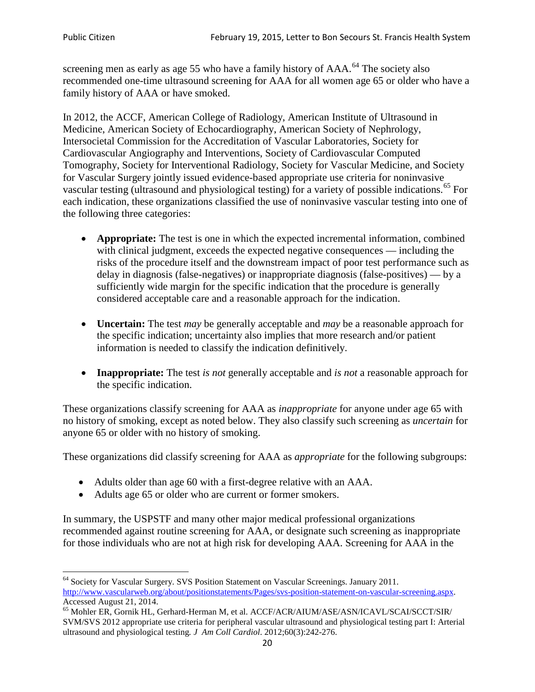screening men as early as age 55 who have a family history of AAA.<sup>[64](#page-19-0)</sup> The society also recommended one-time ultrasound screening for AAA for all women age 65 or older who have a family history of AAA or have smoked.

In 2012, the ACCF, American College of Radiology, American Institute of Ultrasound in Medicine, American Society of Echocardiography, American Society of Nephrology, Intersocietal Commission for the Accreditation of Vascular Laboratories, Society for Cardiovascular Angiography and Interventions, Society of Cardiovascular Computed Tomography, Society for Interventional Radiology, Society for Vascular Medicine, and Society for Vascular Surgery jointly issued evidence-based appropriate use criteria for noninvasive vascular testing (ultrasound and physiological testing) for a variety of possible indications.<sup>[65](#page-19-1)</sup> For each indication, these organizations classified the use of noninvasive vascular testing into one of the following three categories:

- **Appropriate:** The test is one in which the expected incremental information, combined with clinical judgment, exceeds the expected negative consequences — including the risks of the procedure itself and the downstream impact of poor test performance such as delay in diagnosis (false-negatives) or inappropriate diagnosis (false-positives) — by a sufficiently wide margin for the specific indication that the procedure is generally considered acceptable care and a reasonable approach for the indication.
- **Uncertain:** The test *may* be generally acceptable and *may* be a reasonable approach for the specific indication; uncertainty also implies that more research and/or patient information is needed to classify the indication definitively.
- **Inappropriate:** The test *is not* generally acceptable and *is not* a reasonable approach for the specific indication.

These organizations classify screening for AAA as *inappropriate* for anyone under age 65 with no history of smoking, except as noted below. They also classify such screening as *uncertain* for anyone 65 or older with no history of smoking.

These organizations did classify screening for AAA as *appropriate* for the following subgroups:

- Adults older than age 60 with a first-degree relative with an AAA.
- Adults age 65 or older who are current or former smokers.

In summary, the USPSTF and many other major medical professional organizations recommended against routine screening for AAA, or designate such screening as inappropriate for those individuals who are not at high risk for developing AAA. Screening for AAA in the

<span id="page-19-0"></span><sup>64</sup> Society for Vascular Surgery. SVS Position Statement on Vascular Screenings. January 2011. [http://www.vascularweb.org/about/positionstatements/Pages/svs-position-statement-on-vascular-screening.aspx.](http://www.vascularweb.org/about/positionstatements/Pages/svs-position-statement-on-vascular-screening.aspx) 

<span id="page-19-1"></span>Accessed August 21, 2014.<br><sup>65</sup> Mohler ER, Gornik HL, Gerhard-Herman M, et al. ACCF/ACR/AIUM/ASE/ASN/ICAVL/SCAI/SCCT/SIR/ SVM/SVS 2012 appropriate use criteria for peripheral vascular ultrasound and physiological testing part I: Arterial ultrasound and physiological testing*. J Am Coll Cardiol*. 2012;60(3):242-276.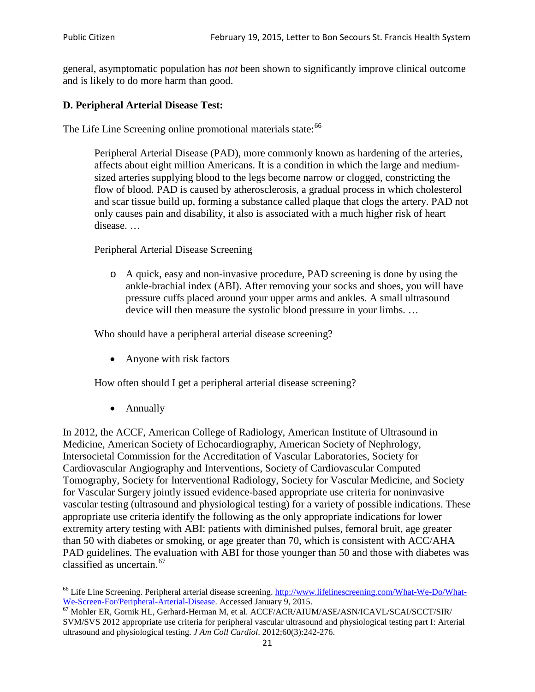general, asymptomatic population has *not* been shown to significantly improve clinical outcome and is likely to do more harm than good.

## **D. Peripheral Arterial Disease Test:**

The Life Line Screening online promotional materials state:<sup>[66](#page-20-0)</sup>

Peripheral Arterial Disease (PAD), more commonly known as hardening of the arteries, affects about eight million Americans. It is a condition in which the large and mediumsized arteries supplying blood to the legs become narrow or clogged, constricting the flow of blood. PAD is caused by atherosclerosis, a gradual process in which cholesterol and scar tissue build up, forming a substance called plaque that clogs the artery. PAD not only causes pain and disability, it also is associated with a much higher risk of heart disease. …

Peripheral Arterial Disease Screening

o A quick, easy and non-invasive procedure, PAD screening is done by using the ankle-brachial index (ABI). After removing your socks and shoes, you will have pressure cuffs placed around your upper arms and ankles. A small ultrasound device will then measure the systolic blood pressure in your limbs. …

Who should have a peripheral arterial disease screening?

• Anyone with risk factors

How often should I get a peripheral arterial disease screening?

• Annually

In 2012, the ACCF, American College of Radiology, American Institute of Ultrasound in Medicine, American Society of Echocardiography, American Society of Nephrology, Intersocietal Commission for the Accreditation of Vascular Laboratories, Society for Cardiovascular Angiography and Interventions, Society of Cardiovascular Computed Tomography, Society for Interventional Radiology, Society for Vascular Medicine, and Society for Vascular Surgery jointly issued evidence-based appropriate use criteria for noninvasive vascular testing (ultrasound and physiological testing) for a variety of possible indications. These appropriate use criteria identify the following as the only appropriate indications for lower extremity artery testing with ABI: patients with diminished pulses, femoral bruit, age greater than 50 with diabetes or smoking, or age greater than 70, which is consistent with ACC/AHA PAD guidelines. The evaluation with ABI for those younger than 50 and those with diabetes was classified as uncertain.<sup>[67](#page-20-1)</sup>

<span id="page-20-0"></span><sup>&</sup>lt;sup>66</sup> Life Line Screening. Peripheral arterial disease screening. [http://www.lifelinescreening.com/What-We-Do/What-](http://www.lifelinescreening.com/What-We-Do/What-We-Screen-For/Peripheral-Arterial-Disease)[We-Screen-For/Peripheral-Arterial-Disease.](http://www.lifelinescreening.com/What-We-Do/What-We-Screen-For/Peripheral-Arterial-Disease) Accessed January 9, 2015.<br><sup>67</sup> Mohler ER, Gornik HL, Gerhard-Herman M, et al. ACCF/ACR/AIUM/ASE/ASN/ICAVL/SCAI/SCCT/SIR/

<span id="page-20-1"></span>SVM/SVS 2012 appropriate use criteria for peripheral vascular ultrasound and physiological testing part I: Arterial ultrasound and physiological testing. *J Am Coll Cardiol*. 2012;60(3):242-276.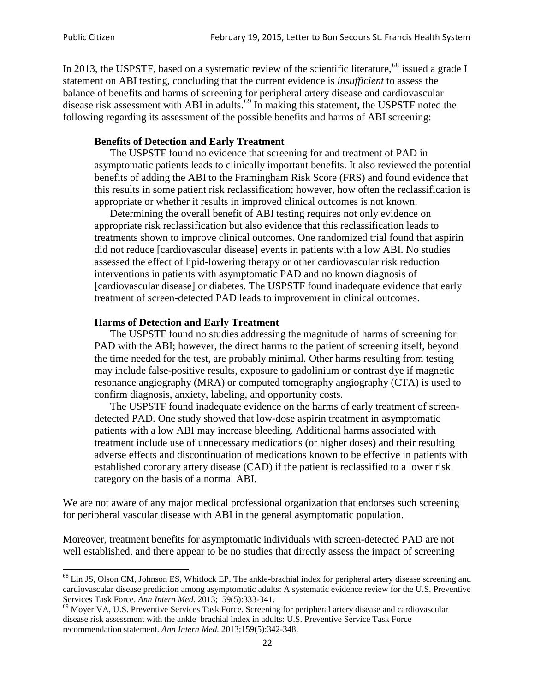In 2013, the USPSTF, based on a systematic review of the scientific literature,<sup>[68](#page-21-0)</sup> issued a grade I statement on ABI testing, concluding that the current evidence is *insufficient* to assess the balance of benefits and harms of screening for peripheral artery disease and cardiovascular disease risk assessment with ABI in adults.<sup>[69](#page-21-1)</sup> In making this statement, the USPSTF noted the following regarding its assessment of the possible benefits and harms of ABI screening:

#### **Benefits of Detection and Early Treatment**

The USPSTF found no evidence that screening for and treatment of PAD in asymptomatic patients leads to clinically important benefits. It also reviewed the potential benefits of adding the ABI to the Framingham Risk Score (FRS) and found evidence that this results in some patient risk reclassification; however, how often the reclassification is appropriate or whether it results in improved clinical outcomes is not known.

Determining the overall benefit of ABI testing requires not only evidence on appropriate risk reclassification but also evidence that this reclassification leads to treatments shown to improve clinical outcomes. One randomized trial found that aspirin did not reduce [cardiovascular disease] events in patients with a low ABI. No studies assessed the effect of lipid-lowering therapy or other cardiovascular risk reduction interventions in patients with asymptomatic PAD and no known diagnosis of [cardiovascular disease] or diabetes. The USPSTF found inadequate evidence that early treatment of screen-detected PAD leads to improvement in clinical outcomes.

#### **Harms of Detection and Early Treatment**

The USPSTF found no studies addressing the magnitude of harms of screening for PAD with the ABI; however, the direct harms to the patient of screening itself, beyond the time needed for the test, are probably minimal. Other harms resulting from testing may include false-positive results, exposure to gadolinium or contrast dye if magnetic resonance angiography (MRA) or computed tomography angiography (CTA) is used to confirm diagnosis, anxiety, labeling, and opportunity costs.

The USPSTF found inadequate evidence on the harms of early treatment of screendetected PAD. One study showed that low-dose aspirin treatment in asymptomatic patients with a low ABI may increase bleeding. Additional harms associated with treatment include use of unnecessary medications (or higher doses) and their resulting adverse effects and discontinuation of medications known to be effective in patients with established coronary artery disease (CAD) if the patient is reclassified to a lower risk category on the basis of a normal ABI.

We are not aware of any major medical professional organization that endorses such screening for peripheral vascular disease with ABI in the general asymptomatic population.

Moreover, treatment benefits for asymptomatic individuals with screen-detected PAD are not well established, and there appear to be no studies that directly assess the impact of screening

<span id="page-21-0"></span><sup>&</sup>lt;sup>68</sup> Lin JS, Olson CM, Johnson ES, Whitlock EP. The ankle-brachial index for peripheral artery disease screening and cardiovascular disease prediction among asymptomatic adults: A systematic evidence review for the U.S. Preventive Services Task Force. *Ann Intern Med.* 2013;159(5):333-341.<br><sup>69</sup> Moyer VA, U.S. Preventive Services Task Force. Screening for peripheral artery disease and cardiovascular

<span id="page-21-1"></span>disease risk assessment with the ankle–brachial index in adults: U.S. Preventive Service Task Force recommendation statement. *Ann Intern Med.* 2013;159(5):342-348.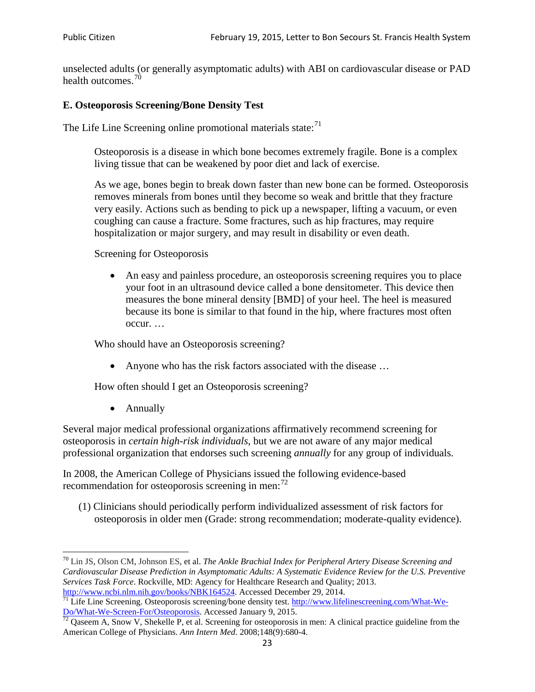unselected adults (or generally asymptomatic adults) with ABI on cardiovascular disease or PAD health outcomes.<sup>[70](#page-22-0)</sup>

## **E. Osteoporosis Screening/Bone Density Test**

The Life Line Screening online promotional materials state: $71$ 

Osteoporosis is a disease in which bone becomes extremely fragile. Bone is a complex living tissue that can be weakened by poor diet and lack of exercise.

As we age, bones begin to break down faster than new bone can be formed. Osteoporosis removes minerals from bones until they become so weak and brittle that they fracture very easily. Actions such as bending to pick up a newspaper, lifting a vacuum, or even coughing can cause a fracture. Some fractures, such as hip fractures, may require hospitalization or major surgery, and may result in disability or even death.

Screening for Osteoporosis

• An easy and painless procedure, an osteoporosis screening requires you to place your foot in an ultrasound device called a bone densitometer. This device then measures the bone mineral density [BMD] of your heel. The heel is measured because its bone is similar to that found in the hip, where fractures most often occur. …

Who should have an Osteoporosis screening?

• Anyone who has the risk factors associated with the disease ...

How often should I get an Osteoporosis screening?

• Annually

Several major medical professional organizations affirmatively recommend screening for osteoporosis in *certain high-risk individuals*, but we are not aware of any major medical professional organization that endorses such screening *annually* for any group of individuals.

In 2008, the American College of Physicians issued the following evidence-based recommendation for osteoporosis screening in men: $^{72}$  $^{72}$  $^{72}$ 

(1) Clinicians should periodically perform individualized assessment of risk factors for osteoporosis in older men (Grade: strong recommendation; moderate-quality evidence).

<span id="page-22-0"></span><sup>70</sup> [Lin JS,](http://www.ncbi.nlm.nih.gov/pubmed?term=Lin%20JS%5BAuthor%5D&cauthor=true&cauthor_uid=24156115) [Olson CM,](http://www.ncbi.nlm.nih.gov/pubmed?term=Olson%20CM%5BAuthor%5D&cauthor=true&cauthor_uid=24156115) [Johnson ES,](http://www.ncbi.nlm.nih.gov/pubmed?term=Johnson%20ES%5BAuthor%5D&cauthor=true&cauthor_uid=24156115) et al. *The Ankle Brachial Index for Peripheral Artery Disease Screening and Cardiovascular Disease Prediction in Asymptomatic Adults: A Systematic Evidence Review for the U.S. Preventive Services Task Force*. Rockville, MD: Agency for Healthcare Research and Quality; 2013.<br>http://www.ncbi.nlm.nih.gov/books/NBK164524. Accessed December 29, 2014.

<span id="page-22-1"></span> $\frac{1}{71}$  Life Line Screening. Osteoporosis screening/bone density test. [http://www.lifelinescreening.com/What-We-](http://www.lifelinescreening.com/What-We-Do/What-We-Screen-For/Osteoporosis)[Do/What-We-Screen-For/Osteoporosis.](http://www.lifelinescreening.com/What-We-Do/What-We-Screen-For/Osteoporosis) Accessed January 9, 2015. <sup>72</sup> Qaseem A, Snow V, Shekelle P, et al. Screening for osteoporosis in men: A clinical practice guideline from the

<span id="page-22-2"></span>American College of Physicians. *Ann Intern Med*. 2008;148(9):680-4.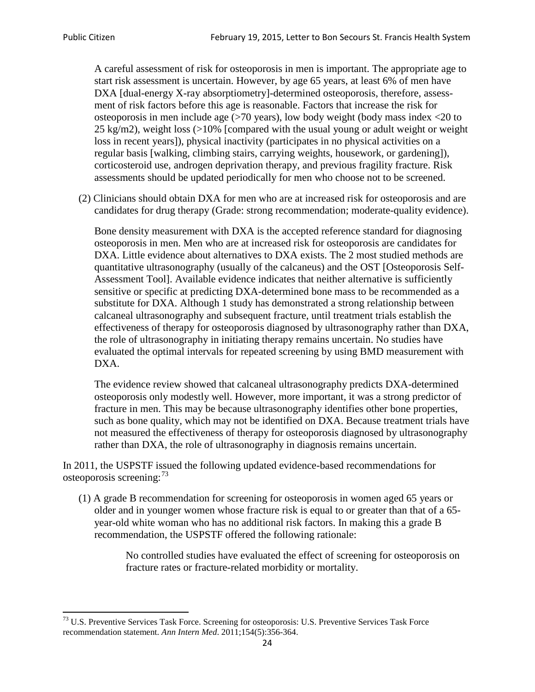A careful assessment of risk for osteoporosis in men is important. The appropriate age to start risk assessment is uncertain. However, by age 65 years, at least 6% of men have DXA [dual-energy X-ray absorptiometry]-determined osteoporosis, therefore, assessment of risk factors before this age is reasonable. Factors that increase the risk for osteoporosis in men include age (>70 years), low body weight (body mass index <20 to 25 kg/m2), weight loss  $\langle$  >10% [compared with the usual young or adult weight or weight loss in recent years]), physical inactivity (participates in no physical activities on a regular basis [walking, climbing stairs, carrying weights, housework, or gardening]), corticosteroid use, androgen deprivation therapy, and previous fragility fracture. Risk assessments should be updated periodically for men who choose not to be screened.

(2) Clinicians should obtain DXA for men who are at increased risk for osteoporosis and are candidates for drug therapy (Grade: strong recommendation; moderate-quality evidence).

Bone density measurement with DXA is the accepted reference standard for diagnosing osteoporosis in men. Men who are at increased risk for osteoporosis are candidates for DXA. Little evidence about alternatives to DXA exists. The 2 most studied methods are quantitative ultrasonography (usually of the calcaneus) and the OST [Osteoporosis Self-Assessment Tool]. Available evidence indicates that neither alternative is sufficiently sensitive or specific at predicting DXA-determined bone mass to be recommended as a substitute for DXA. Although 1 study has demonstrated a strong relationship between calcaneal ultrasonography and subsequent fracture, until treatment trials establish the effectiveness of therapy for osteoporosis diagnosed by ultrasonography rather than DXA, the role of ultrasonography in initiating therapy remains uncertain. No studies have evaluated the optimal intervals for repeated screening by using BMD measurement with DXA.

The evidence review showed that calcaneal ultrasonography predicts DXA-determined osteoporosis only modestly well. However, more important, it was a strong predictor of fracture in men. This may be because ultrasonography identifies other bone properties, such as bone quality, which may not be identified on DXA. Because treatment trials have not measured the effectiveness of therapy for osteoporosis diagnosed by ultrasonography rather than DXA, the role of ultrasonography in diagnosis remains uncertain.

In 2011, the USPSTF issued the following updated evidence-based recommendations for osteoporosis screening:<sup>[73](#page-23-0)</sup>

(1) A grade B recommendation for screening for osteoporosis in women aged 65 years or older and in younger women whose fracture risk is equal to or greater than that of a 65 year-old white woman who has no additional risk factors. In making this a grade B recommendation, the USPSTF offered the following rationale:

> No controlled studies have evaluated the effect of screening for osteoporosis on fracture rates or fracture-related morbidity or mortality.

<span id="page-23-0"></span><sup>&</sup>lt;sup>73</sup> U.S. Preventive Services Task Force. Screening for osteoporosis: U.S. Preventive Services Task Force recommendation statement. *Ann Intern Med*. 2011;154(5):356-364.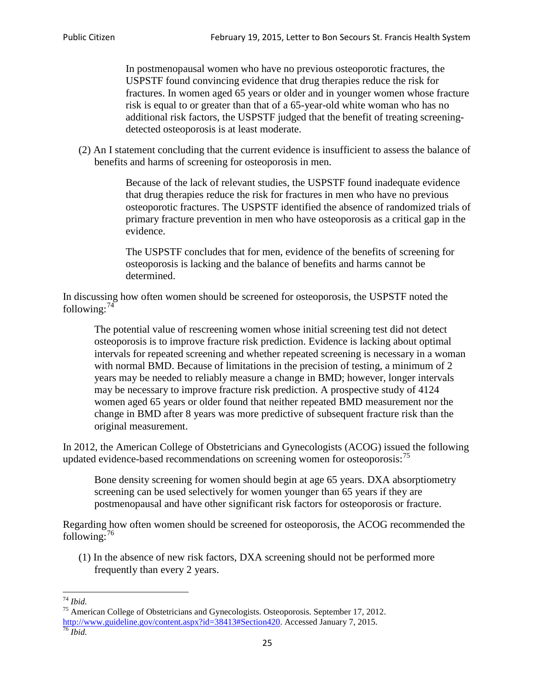In postmenopausal women who have no previous osteoporotic fractures, the USPSTF found convincing evidence that drug therapies reduce the risk for fractures. In women aged 65 years or older and in younger women whose fracture risk is equal to or greater than that of a 65-year-old white woman who has no additional risk factors, the USPSTF judged that the benefit of treating screeningdetected osteoporosis is at least moderate.

(2) An I statement concluding that the current evidence is insufficient to assess the balance of benefits and harms of screening for osteoporosis in men.

> Because of the lack of relevant studies, the USPSTF found inadequate evidence that drug therapies reduce the risk for fractures in men who have no previous osteoporotic fractures. The USPSTF identified the absence of randomized trials of primary fracture prevention in men who have osteoporosis as a critical gap in the evidence.

The USPSTF concludes that for men, evidence of the benefits of screening for osteoporosis is lacking and the balance of benefits and harms cannot be determined.

In discussing how often women should be screened for osteoporosis, the USPSTF noted the following: $74$ 

The potential value of rescreening women whose initial screening test did not detect osteoporosis is to improve fracture risk prediction. Evidence is lacking about optimal intervals for repeated screening and whether repeated screening is necessary in a woman with normal BMD. Because of limitations in the precision of testing, a minimum of 2 years may be needed to reliably measure a change in BMD; however, longer intervals may be necessary to improve fracture risk prediction. A prospective study of 4124 women aged 65 years or older found that neither repeated BMD measurement nor the change in BMD after 8 years was more predictive of subsequent fracture risk than the original measurement.

In 2012, the American College of Obstetricians and Gynecologists (ACOG) issued the following updated evidence-based recommendations on screening women for osteoporosis:<sup>[75](#page-24-1)</sup>

Bone density screening for women should begin at age 65 years. DXA absorptiometry screening can be used selectively for women younger than 65 years if they are postmenopausal and have other significant risk factors for osteoporosis or fracture.

Regarding how often women should be screened for osteoporosis, the ACOG recommended the following: $^{76}$  $^{76}$  $^{76}$ 

(1) In the absence of new risk factors, DXA screening should not be performed more frequently than every 2 years.

<span id="page-24-2"></span><span id="page-24-1"></span><span id="page-24-0"></span><sup>74</sup> *Ibid.* <sup>75</sup> American College of Obstetricians and Gynecologists. Osteoporosis. September 17, 2012. [http://www.guideline.gov/content.aspx?id=38413#Section420.](http://www.guideline.gov/content.aspx?id=38413#Section420) Accessed January 7, 2015.<br><sup>76</sup> *Ibid.*